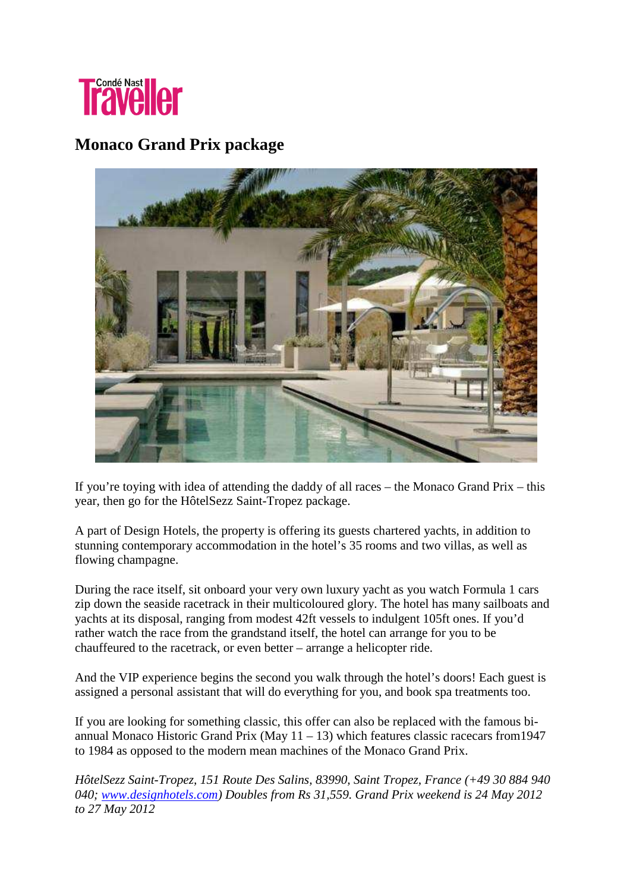

## **Monaco Grand Prix package**



If you're toying with idea of attending the daddy of all races – the Monaco Grand Prix – this year, then go for the HôtelSezz Saint-Tropez package.

A part of Design Hotels, the property is offering its guests chartered yachts, in addition to stunning contemporary accommodation in the hotel's 35 rooms and two villas, as well as flowing champagne.

During the race itself, sit onboard your very own luxury yacht as you watch Formula 1 cars zip down the seaside racetrack in their multicoloured glory. The hotel has many sailboats and yachts at its disposal, ranging from modest 42ft vessels to indulgent 105ft ones. If you'd rather watch the race from the grandstand itself, the hotel can arrange for you to be chauffeured to the racetrack, or even better – arrange a helicopter ride.

And the VIP experience begins the second you walk through the hotel's doors! Each guest is assigned a personal assistant that will do everything for you, and book spa treatments too.

If you are looking for something classic, this offer can also be replaced with the famous biannual Monaco Historic Grand Prix (May  $11 - 13$ ) which features classic racecars from 1947 to 1984 as opposed to the modern mean machines of the Monaco Grand Prix.

*HôtelSezz Saint-Tropez, 151 Route Des Salins, 83990, Saint Tropez, France (+49 30 884 940 040; www.designhotels.com) Doubles from Rs 31,559. Grand Prix weekend is 24 May 2012 to 27 May 2012*